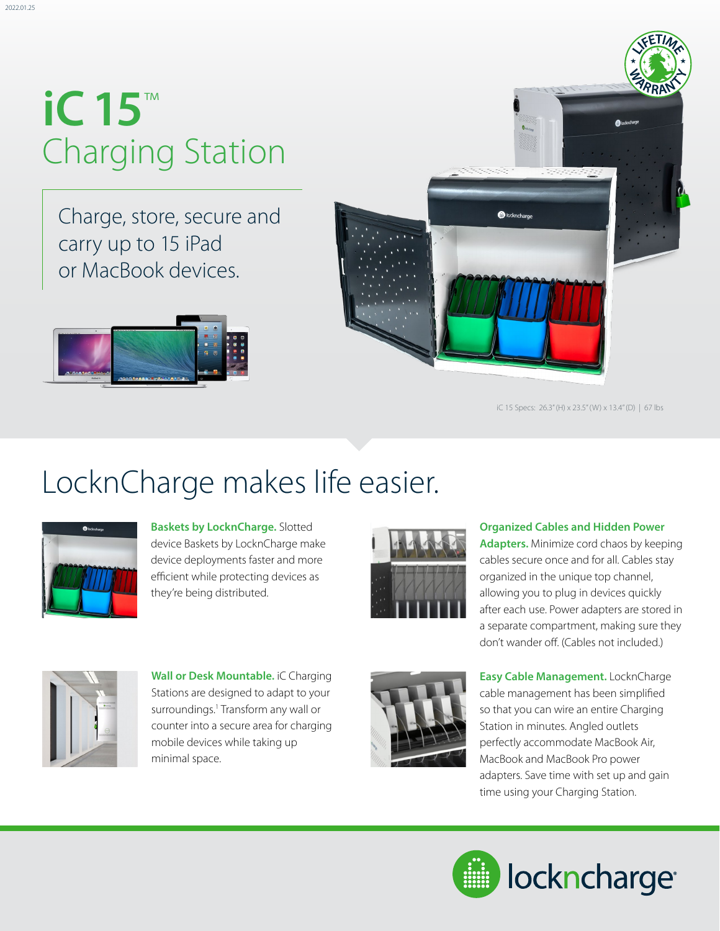# **iC 15**™ Charging Station

Charge, store, secure and carry up to 15 iPad or MacBook devices.





iC 15 Specs: 26.3" (H) x 23.5" (W) x 13.4" (D) | 67 lbs

#### LocknCharge makes life easier.



**Baskets by LocknCharge.** Slotted device Baskets by LocknCharge make device deployments faster and more efficient while protecting devices as they're being distributed.



**Organized Cables and Hidden Power Adapters.** Minimize cord chaos by keeping cables secure once and for all. Cables stay organized in the unique top channel, allowing you to plug in devices quickly after each use. Power adapters are stored in a separate compartment, making sure they don't wander off. (Cables not included.)



**Wall or Desk Mountable.** iC Charging Stations are designed to adapt to your surroundings.<sup>1</sup> Transform any wall or counter into a secure area for charging mobile devices while taking up minimal space.



**Easy Cable Management.** LocknCharge cable management has been simplified so that you can wire an entire Charging Station in minutes. Angled outlets perfectly accommodate MacBook Air, MacBook and MacBook Pro power adapters. Save time with set up and gain time using your Charging Station.